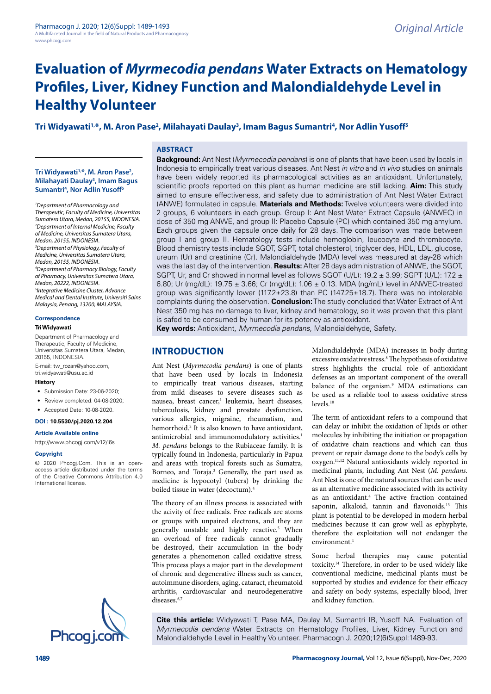# Tri Widyawati<sup>1,</sup>\*, M. Aron Pase<sup>2</sup>, Milahayati Daulay<sup>3</sup>, Imam Bagus Sumantri<sup>4</sup>, Nor Adlin Yusoff<sup>5</sup>

**ABSTRACT**

## **Tri Widyawati1,\*, M. Aron Pase2 , Milahayati Daulay3 , Imam Bagus Sumantri4 , Nor Adlin Yusoff5**

*1 Department of Pharmacology and Therapeutic, Faculty of Medicine, Universitas Sumatera Utara, Medan, 20155, INDONESIA. 2 Department of Internal Medicine, Faculty of Medicine, Universitas Sumatera Utara, Medan, 20155, INDONESIA. 3 Department of Physiology, Faculty of Medicine, Universitas Sumatera Utara, Medan, 20155, INDONESIA. 4 Department of Pharmacy Biology, Faculty of Pharmacy, Universitas Sumatera Utara, Medan, 20222, INDONESIA. 5 Integrative Medicine Cluster, Advance Medical and Dental Institute, Universiti Sains Malaysia, Penang, 13200, MALAYSIA.*

# **Correspondence**

## **Tri Widyawati**

Department of Pharmacology and Therapeutic, Faculty of Medicine, Universitas Sumatera Utara, Medan, 20155, INDONESIA.

E-mail: [tw\\_rozan@yahoo.com](mailto:tw_rozan@yahoo.com), tri.widyawati@usu.ac.id

#### **History**

- Submission Date: 23-06-2020:
- Review completed: 04-08-2020:
- Accepted Date: 10-08-2020.

#### **DOI : 10.5530/pj.2020.12.204**

**Article Available online**  <http://www.phcogj.com/v12/i6s>

#### **Copyright**

© 2020 Phcogj.Com. This is an openaccess article distributed under the terms of the Creative Commons Attribution 4.0 International license.



**Background:** Ant Nest (*Myrmecodia pendans*) is one of plants that have been used by locals in Indonesia to empirically treat various diseases. Ant Nest *in vitro* and *in vivo* studies on animals have been widely reported its pharmacological activities as an antioxidant. Unfortunately, scientific proofs reported on this plant as human medicine are still lacking. **Aim:** This study aimed to ensure effectiveness, and safety due to administration of Ant Nest Water Extract (ANWE) formulated in capsule. **Materials and Methods:** Twelve volunteers were divided into 2 groups, 6 volunteers in each group. Group I: Ant Nest Water Extract Capsule (ANWEC) in dose of 350 mg ANWE, and group II: Placebo Capsule (PC) which contained 350 mg amylum. Each groups given the capsule once daily for 28 days. The comparison was made between group I and group II. Hematology tests include hemoglobin, leucocyte and thrombocyte. Blood chemistry tests include SGOT, SGPT, total cholesterol, triglycerides, HDL, LDL, glucose, ureum (Ur) and creatinine (Cr). Malondialdehyde (MDA) level was measured at day-28 which was the last day of the intervention. **Results:** After 28 days administration of ANWE, the SGOT, SGPT, Ur, and Cr showed in normal level as follows SGOT (U/L): 19.2  $\pm$  3.99; SGPT (U/L): 17.2  $\pm$ 6.80; Ur (mg/dL): 19.75 ± 3.66; Cr (mg/dL): 1.06 ± 0.13. MDA (ng/mL) level in ANWEC-treated group was significantly lower (117.2 $\pm$ 23.8) than PC (147.25 $\pm$ 18.7). There was no intolerable complaints during the observation. **Conclusion:** The study concluded that Water Extract of Ant Nest 350 mg has no damage to liver, kidney and hematology, so it was proven that this plant is safed to be consumed by human for its potency as antioxidant.

**Key words:** Antioxidant, *Myrmecodia pendans,* Malondialdehyde, Safety.

# **INTRODUCTION**

Ant Nest (*Myrmecodia pendans*) is one of plants that have been used by locals in Indonesia to empirically treat various diseases, starting from mild diseases to severe diseases such as nausea, breast cancer,<sup>1</sup> leukemia, heart diseases, tuberculosis, kidney and prostate dysfunction, various allergies, migraine, rheumatism, and hemorrhoid.<sup>2</sup> It is also known to have antioxidant, antimicrobial and immunomodulatory activities.<sup>1</sup> *M. pendans* belongs to the Rubiaceae family. It is typically found in Indonesia, particularly in Papua and areas with tropical forests such as Sumatra, Borneo, and Toraja.<sup>3</sup> Generally, the part used as medicine is hypocotyl (tubers) by drinking the boiled tissue in water (decoctum).4

The theory of an illness process is associated with the acivity of free radicals. Free radicals are atoms or groups with unpaired electrons, and they are generally unstable and highly reactive.5 When an overload of free radicals cannot gradually be destroyed, their accumulation in the body generates a phenomenon called oxidative stress. This process plays a major part in the development of chronic and degenerative illness such as cancer, autoimmune disorders, aging, cataract, rheumatoid arthritis, cardiovascular and neurodegenerative diseases.6,7

Malondialdehyde (MDA) increases in body during excessive oxidative stress.<sup>8</sup> The hypothesis of oxidative stress highlights the crucial role of antioxidant defenses as an important component of the overall balance of the organism.9 MDA estimations can be used as a reliable tool to assess oxidative stress levels<sup>10</sup>

The term of antioxidant refers to a compound that can delay or inhibit the oxidation of lipids or other molecules by inhibiting the initiation or propagation of oxidative chain reactions and which can thus prevent or repair damage done to the body's cells by oxygen.11,12 Natural antioxidants widely reported in medicinal plants, including Ant Nest (*M. pendans*. Ant Nest is one of the natural sources that can be used as an alternative medicine associated with its activity as an antioxidant.<sup>4</sup> The active fraction contained saponin, alkaloid, tannin and flavonoids.<sup>13</sup> This plant is potential to be developed in modern herbal medicines because it can grow well as ephyphyte, therefore the exploitation will not endanger the environment.<sup>1</sup>

Some herbal therapies may cause potential toxicity.14 Therefore, in order to be used widely like conventional medicine, medicinal plants must be supported by studies and evidence for their efficacy and safety on body systems, especially blood, liver and kidney function.

**Cite this article:** Widyawati T, Pase MA, Daulay M, Sumantri IB, Yusoff NA. Evaluation of *Myrmecodia pendans* Water Extracts on Hematology Profiles, Liver, Kidney Function and<br>Malondialdehyde Level in Healthy Volunteer. Pharmacogn J. 2020;12(6)Suppl:1489-93.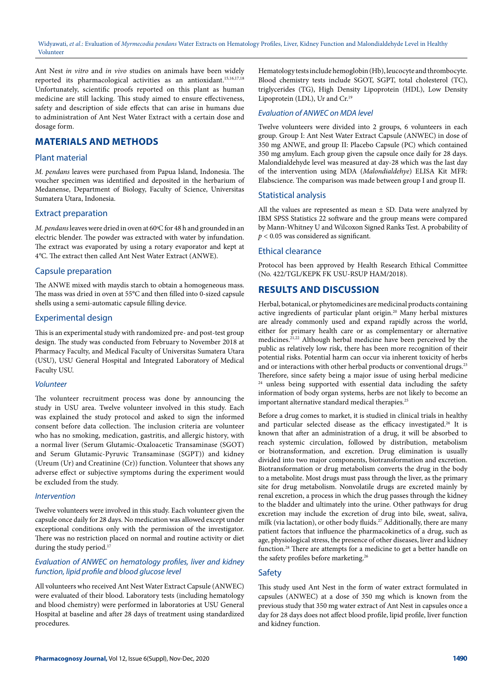Ant Nest *in vitro* and *in vivo* studies on animals have been widely reported its pharmacological activities as an antioxidant.<sup>15,16,17,18</sup> Unfortunately, scientific proofs reported on this plant as human medicine are still lacking. This study aimed to ensure effectiveness, safety and description of side effects that can arise in humans due to administration of Ant Nest Water Extract with a certain dose and dosage form.

# **MATERIALS AND METHODS**

## Plant material

*M. pendans* leaves were purchased from Papua Island, Indonesia. The voucher specimen was identified and deposited in the herbarium of Medanense, Department of Biology, Faculty of Science, Universitas Sumatera Utara, Indonesia.

#### Extract preparation

*M. pendans* leaves were dried in oven at 60°C for 48 h and grounded in an electric blender. The powder was extracted with water by infundation. The extract was evaporated by using a rotary evaporator and kept at 4*°*C. The extract then called Ant Nest Water Extract (ANWE).

#### Capsule preparation

The ANWE mixed with maydis starch to obtain a homogeneous mass. The mass was dried in oven at 55°C and then filled into 0-sized capsule shells using a semi-automatic capsule filling device.

#### Experimental design

This is an experimental study with randomized pre- and post-test group design. The study was conducted from February to November 2018 at Pharmacy Faculty, and Medical Faculty of Universitas Sumatera Utara (USU), USU General Hospital and Integrated Laboratory of Medical Faculty USU.

#### *Volunteer*

The volunteer recruitment process was done by announcing the study in USU area. Twelve volunteer involved in this study. Each was explained the study protocol and asked to sign the informed consent before data collection. The inclusion criteria are volunteer who has no smoking, medication, gastritis, and allergic history, with a normal liver (Serum Glutamic-Oxaloacetic Transaminase (SGOT) and Serum Glutamic-Pyruvic Transaminase (SGPT)) and kidney (Ureum (Ur) and Creatinine (Cr)) function. Volunteer that shows any adverse effect or subjective symptoms during the experiment would be excluded from the study.

#### *Intervention*

Twelve volunteers were involved in this study. Each volunteer given the capsule once daily for 28 days. No medication was allowed except under exceptional conditions only with the permission of the investigator. There was no restriction placed on normal and routine activity or diet during the study period.<sup>17</sup>

#### *Evaluation of ANWEC on hematology profiles, liver and kidney function, lipid profile and blood glucose level*

All volunteers who received Ant Nest Water Extract Capsule (ANWEC) were evaluated of their blood. Laboratory tests (including hematology and blood chemistry) were performed in laboratories at USU General Hospital at baseline and after 28 days of treatment using standardized procedures.

Hematology tests include hemoglobin (Hb), leucocyte and thrombocyte. Blood chemistry tests include SGOT, SGPT, total cholesterol (TC), triglycerides (TG), High Density Lipoprotein (HDL), Low Density Lipoprotein (LDL), Ur and Cr.19

### *Evaluation of ANWEC on MDA level*

Twelve volunteers were divided into 2 groups, 6 volunteers in each group. Group I: Ant Nest Water Extract Capsule (ANWEC) in dose of 350 mg ANWE, and group II: Placebo Capsule (PC) which contained 350 mg amylum. Each group given the capsule once daily for 28 days. Malondialdehyde level was measured at day-28 which was the last day of the intervention using MDA (*Malondialdehye*) ELISA Kit MFR: Elabscience. The comparison was made between group I and group II.

#### Statistical analysis

All the values are represented as mean *±* SD. Data were analyzed by IBM SPSS Statistics 22 software and the group means were compared by Mann-Whitney U and Wilcoxon Signed Ranks Test. A probability of *p <* 0*.*05 was considered as significant.

#### Ethical clearance

Protocol has been approved by Health Research Ethical Committee (No. 422/TGL/KEPK FK USU-RSUP HAM/2018).

# **RESULTS AND DISCUSSION**

Herbal, botanical, or phytomedicines are medicinal products containing active ingredients of particular plant origin.20 Many herbal mixtures are already commonly used and expand rapidly across the world, either for primary health care or as complementary or alternative medicines.21,22 Although herbal medicine have been perceived by the public as relatively low risk, there has been more recognition of their potential risks. Potential harm can occur via inherent toxicity of herbs and or interactions with other herbal products or conventional drugs.<sup>23</sup> Therefore, since safety being a major issue of using herbal medicine <sup>24</sup> unless being supported with essential data including the safety information of body organ systems, herbs are not likely to become an important alternative standard medical therapies.<sup>25</sup>

Before a drug comes to market, it is studied in clinical trials in healthy and particular selected disease as the efficacy investigated.<sup>26</sup> It is known that after an administration of a drug, it will be absorbed to reach systemic circulation, followed by distribution, metabolism or biotransformation, and excretion. Drug elimination is usually divided into two major components, biotransformation and excretion. Biotransformation or drug metabolism converts the drug in the body to a metabolite. Most drugs must pass through the liver, as the primary site for drug metabolism. Nonvolatile drugs are excreted mainly by renal excretion, a process in which the drug passes through the kidney to the bladder and ultimately into the urine. Other pathways for drug excretion may include the excretion of drug into bile, sweat, saliva, milk (via lactation), or other body fluids.<sup>27</sup> Additionally, there are many patient factors that influence the pharmacokinetics of a drug, such as age, physiological stress, the presence of other diseases, liver and kidney function.28 There are attempts for a medicine to get a better handle on the safety profiles before marketing.<sup>26</sup>

## **Safety**

This study used Ant Nest in the form of water extract formulated in capsules (ANWEC) at a dose of 350 mg which is known from the previous study that 350 mg water extract of Ant Nest in capsules once a day for 28 days does not affect blood profile, lipid profile, liver function and kidney function.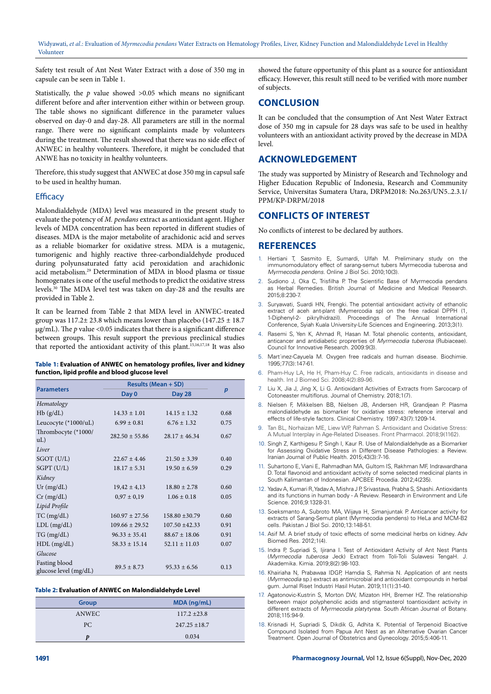Safety test result of Ant Nest Water Extract with a dose of 350 mg in capsule can be seen in Table 1.

Statistically, the  $p$  value showed  $>0.05$  which means no significant different before and after intervention either within or between group. The table shows no significant difference in the parameter values observed on day-0 and day-28. All parameters are still in the normal range. There were no significant complaints made by volunteers during the treatment. The result showed that there was no side effect of ANWEC in healthy volunteers. Therefore, it might be concluded that ANWE has no toxicity in healthy volunteers.

Therefore, this study suggest that ANWEC at dose 350 mg in capsul safe to be used in healthy human.

#### **Efficacy**

Malondialdehyde (MDA) level was measured in the present study to evaluate the potency of *M. pendans* extract as antioxidant agent. Higher levels of MDA concentration has been reported in different studies of diseases. MDA is the major metabolite of arachidonic acid and serves as a reliable biomarker for oxidative stress. MDA is a mutagenic, tumorigenic and highly reactive three-carbondialdehyde produced during polyunsaturated fatty acid peroxidation and arachidonic acid metabolism.29 Determination of MDA in blood plasma or tissue homogenates is one of the useful methods to predict the oxidative stress levels.30 The MDA level test was taken on day-28 and the results are provided in Table 2.

It can be learned from Table 2 that MDA level in ANWEC-treated group was  $117.2 \pm 23.8$  which means lower than placebo (147.25  $\pm$  18.7  $\mu$ g/mL). The *p* value <0.05 indicates that there is a significant difference between groups. This result support the previous preclinical studies that reported the antioxidant activity of this plant.15,16,17,18 It was also

#### **Table 1: Evaluation of ANWEC on hematology profiles, liver and kidney function, lipid profile and blood glucose level**

| <b>Parameters</b>                      | <b>Results (Mean + SD)</b> |                   |                  |
|----------------------------------------|----------------------------|-------------------|------------------|
|                                        | Day 0                      | <b>Day 28</b>     | $\boldsymbol{p}$ |
| Hematology                             |                            |                   |                  |
| Hb(g/dL)                               | $14.33 \pm 1.01$           | $14.15 \pm 1.32$  | 0.68             |
| Leucocyte $(*1000/uL)$                 | $6.99 \pm 0.81$            | $6.76 \pm 1.32$   | 0.75             |
| Thrombocyte (*1000/<br>uL)             | $282.50 + 55.86$           | $28.17 + 46.34$   | 0.67             |
| Liver                                  |                            |                   |                  |
| SGOT (U/L)                             | $22.67 + 4.46$             | $21.50 \pm 3.39$  | 0.40             |
| SGPT (U/L)                             | $18.17 \pm 5.31$           | $19.50 \pm 6.59$  | 0.29             |
| Kidney                                 |                            |                   |                  |
| $Ur$ (mg/dL)                           | $19,42 \pm 4,13$           | $18.80 \pm 2.78$  | 0.60             |
| $Cr$ (mg/dL)                           | $0,97 \pm 0,19$            | $1.06 \pm 0.18$   | 0.05             |
| Lipid Profile                          |                            |                   |                  |
| $TC$ (mg/dL)                           | $160.97 + 27.56$           | $158.80 + 30.79$  | 0.60             |
| $LDL$ (mg/dL)                          | $109.66 \pm 29.52$         | $107.50 + 42.33$  | 0.91             |
| TG (mg/dL)                             | $96.33 \pm 35.41$          | $88.67 \pm 18.06$ | 0.91             |
| $HDL$ (mg/dL)                          | $58.33 \pm 15.14$          | $52.11 \pm 11.03$ | 0.07             |
| Glucose                                |                            |                   |                  |
| Fasting blood<br>glucose level (mg/dL) | $89.5 + 8.73$              | $95.33 + 6.56$    | 0.13             |

#### **Table 2: Evaluation of ANWEC on Malondialdehyde Level**

| <b>Group</b> | $MDA$ (ng/mL)     |
|--------------|-------------------|
| ANWEC        | $117.2 \pm 23.8$  |
| PC           | $247.25 \pm 18.7$ |
|              | 0.034             |

showed the future opportunity of this plant as a source for antioxidant efficacy. However, this result still need to be verified with more number of subjects.

# **CONCLUSION**

It can be concluded that the consumption of Ant Nest Water Extract dose of 350 mg in capsule for 28 days was safe to be used in healthy volunteers with an antioxidant activity proved by the decrease in MDA level.

# **ACKNOWLEDGEMENT**

The study was supported by Ministry of Research and Technology and Higher Education Republic of Indonesia, Research and Community Service, Universitas Sumatera Utara, DRPM2018: No.263/UN5..2.3.1/ PPM/KP-DRPM/2018

# **CONFLICTS OF INTEREST**

No conflicts of interest to be declared by authors.

#### **REFERENCES**

- Hertiani T, Sasmito E, Sumardi, Ulfah M. Preliminary study on the immunomodulatory effect of sarang-semut tubers Myrmecodia tuberosa and *Myrmecodia pendens.* Online J Biol Sci. 2010;10(3).
- Sudiono J, Oka C, Trisfilha P. The Scientific Base of Myrmecodia pendans as Herbal Remedies. British Journal of Medicine and Medical Research*.*  2015;8:230-7.
- 3. Suryawati, Suardi HN, Frengki. The potential antioxidant activity of ethanolic extract of aceh ant-plant (Mymercodia sp) on the free radical DPPH (1, 1-Diphenyl-2- pikrylhidrazil). Proceedings of The Annual International Conference, Syiah Kuala University-Life Sciences and Engineering. 2013;3(1).
- 4. Rasemi S, Yen K, Ahmad R, Hasan M. Total phenolic contents, antioxidant, anticancer and antidiabetic proprerties of *Myrmecodia tuberosa* (Rubiaceae). Council for Innovative Research. 2009:9(3).
- 5. Mart´ınez-Cayuela M. Oxygen free radicals and human disease. Biochimie. 1995;77(3):147-61.
- 6. Pham-Huy LA, He H, Pham-Huy C. Free radicals, antioxidants in disease and health. Int J Biomed Sci. 2008;4(2):89‐96.
- 7. Liu X, Jia J, Jing X, Li G. Antioxidant Activities of Extracts from Sarcocarp of Cotoneaster multiflorus. Journal of Chemistry. 2018;1(7).
- 8. Nielsen F, Mikkelsen BB, Nielsen JB, Andersen HR, Grandjean P. Plasma malondialdehyde as biomarker for oxidative stress: reference interval and effects of life-style factors. Clinical Chemistry. 1997:43(7):1209-14.
- 9. Tan BL, Norhaizan ME, Liew WP, Rahman S. Antioxidant and Oxidative Stress: A Mutual Interplay in Age-Related Diseases. Front Pharmacol. 2018;9(1162).
- 10. Singh Z, Karthigesu P, Singh I, Kaur R. Use of Malondialdehyde as a Biomarker for Assessing Oxidative Stress in Different Disease Pathologies: a Review. Iranian Journal of Public Health. 2015;43(3):7-16.
- 11. Suhartono E, Viani E, Rahmadhan MA, Gultom IS, Rakhman MF, Indrawardhana D. Total flavonoid and antioxidant activity of some selected medicinal plants in South Kalimantan of Indonesian. APCBEE Procedia. 2012;4(235).
- 12. Yadav A, Kumari R, Yadav A, Mishra J P, Srivastava, Prabha S, Shashi. Antioxidants and its functions in human body - A Review. Research in Environment and Life Science. 2016;9:1328-31.
- 13. Soeksmanto A, Subroto MA, Wijaya H, Simanjuntak P. Anticancer activity for extracts of Sarang-Semut plant (Myrmecodia pendens) to HeLa and MCM-B2 cells. Pakistan J Biol Sci*.* 2010;13:148-51.
- 14. Asif M. A brief study of toxic effects of some medicinal herbs on kidney. Adv Biomed Res. 2012;1(4).
- 15. Indra P, Supriadi S, Ijirana I. Test of Antioxidant Activity of Ant Nest Plants (*Myrmecodia tuberosa* Jeck) Extract from Toli-Toli Sulawesi TengaH. J. Akademika*.* Kimia. 2019;8(2):98-103.
- 16. Khairiaha N, Prabawaa IDGP, Hamdia S, Rahmia N. Application of ant nests (*Myrmecodia* sp.) extract as antimicrobial and antioxidant compounds in herbal gum. Jurnal Riset Industri Hasil Hutan. 2019;11(1):31-40.
- 17. Agatonovic-Kustrin S, Morton DW, Mizaton HH, Bremer HZ. The relationship between major polyphenolic acids and stigmasterol toantioxidant activity in different extracts of *Myrmecodia platytyrea*. South African Journal of Botany. 2018;115:94-9.
- 18. Krisnadi H, Supriadi S, Dikdik G, Adhita K. Potential of Terpenoid Bioactive Compound Isolated from Papua Ant Nest as an Alternative Ovarian Cancer Treatment. Open Journal of Obstetrics and Gynecology. 2015;5:406-11.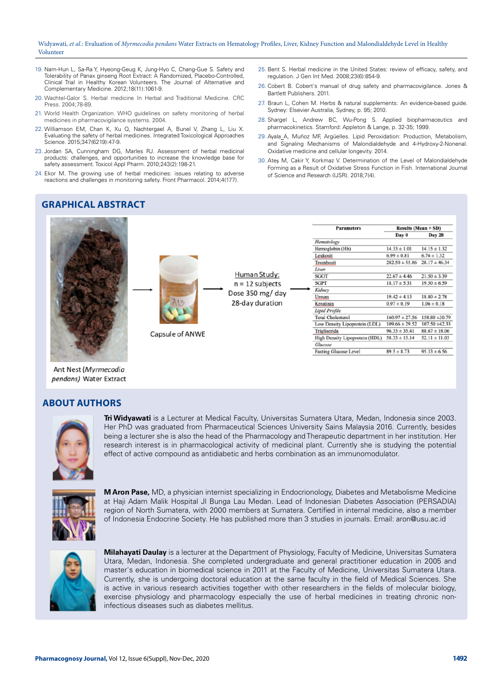- 19. Nam-Hun L, Sa-Ra Y, Hyeong-Geug K, Jung-Hyo C, Chang-Gue S. Safety and Tolerability of Panax ginseng Root Extract: A Randomized, Placebo-Controlled, Clinical Trial in Healthy Korean Volunteers. The Journal of Alternative and Complementary Medicine. 2012;18(11):1061-9.
- 20. Wachtel-Galor S. Herbal medicine In Herbal and Traditional Medicine. CRC Press. 2004;78-89.
- 21. World Health Organization. WHO guidelines on safety monitoring of herbal medicines in pharmacovigilance systems. 2004.
- 22. Williamson EM, Chan K, Xu Q, Nachtergael A, Bunel V, Zhang L, Liu X. Evaluating the safety of herbal medicines. Integrated Toxicological Approaches Science. 2015;347(6219):47-9.
- 23. Jordan SA, Cunningham DG, Marles RJ. Assessment of herbal medicinal products: challenges, and opportunities to increase the knowledge base for safety assessment. Toxicol Appl Pharm. 2010;243(2):198-21.
- 24. Ekor M. The growing use of herbal medicines: issues relating to adverse reactions and challenges in monitoring safety. Front Pharmacol. 2014;4(177).

Capsule of ANWE

- 25. Bent S. Herbal medicine in the United States: review of efficacy, safety, and regulation. J Gen Int Med. 2008;23(6):854-9.
- 26. Cobert B. Cobert's manual of drug safety and pharmacovigilance. Jones & Bartlett Publishers. 2011.
- 27. Braun L, Cohen M. Herbs & natural supplements*:* An evidence-based guide. Sydney: Elsevier Australia, Sydney, p. 95; 2010.
- 28. Shargel L, Andrew BC, Wu-Pong S. Applied biopharmaceutics and pharmacokinetics. Stamford: Appleton & Lange, p. 32-35; 1999.
- 29. Ayala A, Muñoz MF, Argüelles. Lipid Peroxidation: Production, Metabolism, and Signaling Mechanisms of Malondialdehyde and 4-Hydroxy-2-Nonenal. Oxidative medicine and cellular longevity. 2014.
- 30. Ateş M, Cakir Y, Korkmaz V. Determination of the Level of Malondialdehyde Forming as a Result of Oxidative Stress Function in Fish. International Journal of Science and Research (IJSR). 2018;7(4).

**Results (Mean + SD)** 

**Day 28** 

 $14.15 \pm 1.32$ 

 $28.17 \pm 46.34$ 

 $21.50 \pm 3.39$ 

 $19.50 \pm 6.59$ 

 $18.80 \pm 2.78$ 

 $1.06 \pm 0.18$ 

 $88.67 \pm 18.06$ 

 $52.11 \pm 11.03$ 

 $95.33 \pm 6.56$ 

 $160.97 \pm 27.56$  158.80  $\pm 30.79$ 

 $109.66 \pm 29.52$   $107.50 \pm 42.33$ 

 $6.76 \pm 1.32$ 

Day 0

 $14.33 \pm 1.01$ 

 $6.99 \pm 0.81$ 

 $22.67 \pm 4.46$ 

 $18.17 \pm 5.31$ 

 $19.42 \pm 4.13$ 

 $0.97 \pm 0.19$ 

 $96.33 \pm 35.41$ 

 $58.33 \pm 15.14$ 

 $89.5 \pm 8.73$ 

 $282.50 \pm 55.86$ 

**Parameters** 

Low Density Lipoprotein (LDL)

High Density Lipoprotein (HDL)

Fasting Glucose Level

Hematology Hemoglobin (Hb)

Leukosit

**SGOT** 

**SGPT** Kidney

Ureum

Kreatinin Lipid Profile **Total Cholesterol** 

Trigliserida

Glucose

Trombosit Liver

# **GRAPHICAL ABSTRACT**



Ant Nest (Myrmecodia pendans) Water Extract

# **ABOUT AUTHORS**



**Tri Widyawati** is a Lecturer at Medical Faculty, Universitas Sumatera Utara, Medan, Indonesia since 2003. Her PhD was graduated from Pharmaceutical Sciences University Sains Malaysia 2016. Currently, besides being a lecturer she is also the head of the Pharmacology and Therapeutic department in her institution. Her research interest is in pharmacological activity of medicinal plant. Currently she is studying the potential effect of active compound as antidiabetic and herbs combination as an immunomodulator.

Human Study:

 $n = 12$  subjects

Dose 350 mg/ day

28-day duration



**M Aron Pase,** MD, a physician internist specializing in Endocrionology, Diabetes and Metabolisme Medicine at Haji Adam Malik Hospital Jl Bunga Lau Medan. Lead of Indonesian Diabetes Association (PERSADIA) region of North Sumatera, with 2000 members at Sumatera. Certified in internal medicine, also a member of Indonesia Endocrine Society. He has published more than 3 studies in journals. Email: [aron@usu.ac.id](mailto:aron@usu.ac.id)



**Milahayati Daulay** is a lecturer at the Department of Physiology, Faculty of Medicine, Universitas Sumatera Utara, Medan, Indonesia. She completed undergraduate and general practitioner education in 2005 and master's education in biomedical science in 2011 at the Faculty of Medicine, Universitas Sumatera Utara. Currently, she is undergoing doctoral education at the same faculty in the field of Medical Sciences. She is active in various research activities together with other researchers in the fields of molecular biology, exercise physiology and pharmacology especially the use of herbal medicines in treating chronic noninfectious diseases such as diabetes mellitus.